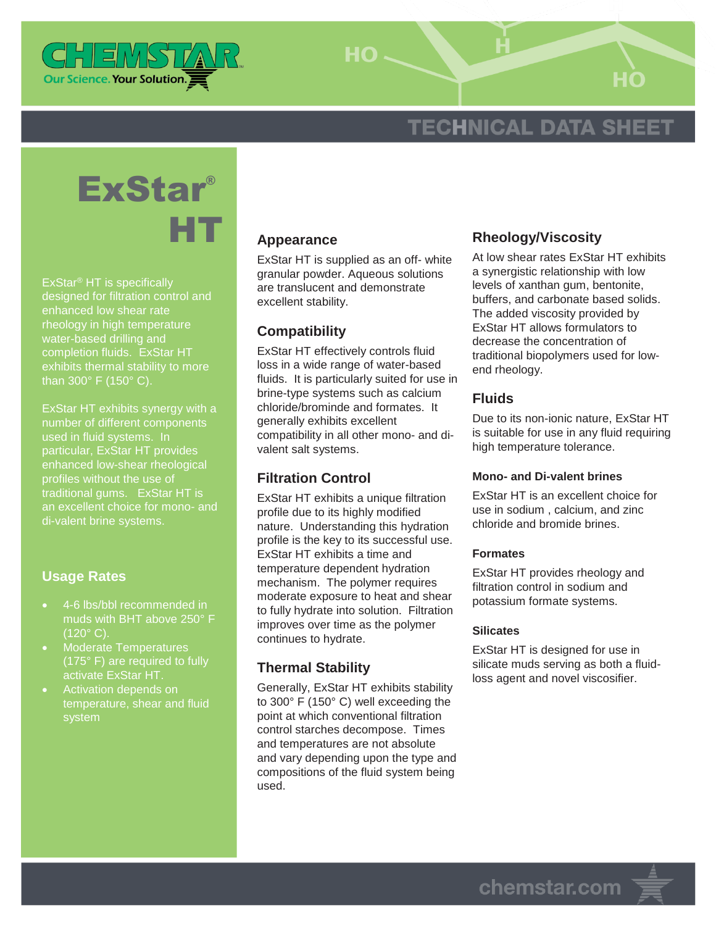

 $HO -$ 

# **TECHNICAL DATA SHEET**



ExStar® HT is specifically designed for filtration control and enhanced low shear rate rheology in high temperature water-based drilling and completion fluids. ExStar HT exhibits thermal stability to more than 300° F (150° C).

ExStar HT exhibits synergy with a number of different components particular, ExStar HT provides enhanced low-shear rheological profiles without the use of traditional gums. ExStar HT is an excellent choice for mono- and di-valent brine systems.

## **Usage Rates**

- 4-6 lbs/bbl recommended in muds with BHT above 250° F  $(120^\circ C)$ .
- Moderate Temperatures (175° F) are required to fully activate ExStar HT.
- Activation depends on temperature, shear and fluid system

#### **Appearance**

ExStar HT is supplied as an off- white granular powder. Aqueous solutions are translucent and demonstrate excellent stability.

#### **Compatibility**

ExStar HT effectively controls fluid loss in a wide range of water-based fluids. It is particularly suited for use in brine-type systems such as calcium chloride/brominde and formates. It generally exhibits excellent compatibility in all other mono- and divalent salt systems.

### **Filtration Control**

ExStar HT exhibits a unique filtration profile due to its highly modified nature. Understanding this hydration profile is the key to its successful use. ExStar HT exhibits a time and temperature dependent hydration mechanism. The polymer requires moderate exposure to heat and shear to fully hydrate into solution. Filtration improves over time as the polymer continues to hydrate.

#### **Thermal Stability**

Generally, ExStar HT exhibits stability to 300° F (150° C) well exceeding the point at which conventional filtration control starches decompose. Times and temperatures are not absolute and vary depending upon the type and compositions of the fluid system being used.

#### **Rheology/Viscosity**

At low shear rates ExStar HT exhibits a synergistic relationship with low levels of xanthan gum, bentonite, buffers, and carbonate based solids. The added viscosity provided by ExStar HT allows formulators to decrease the concentration of traditional biopolymers used for lowend rheology.

#### **Fluids**

Due to its non-ionic nature, ExStar HT is suitable for use in any fluid requiring high temperature tolerance.

#### **Mono- and Di-valent brines**

ExStar HT is an excellent choice for use in sodium , calcium, and zinc chloride and bromide brines.

#### **Formates**

ExStar HT provides rheology and filtration control in sodium and potassium formate systems.

#### **Silicates**

ExStar HT is designed for use in silicate muds serving as both a fluidloss agent and novel viscosifier.